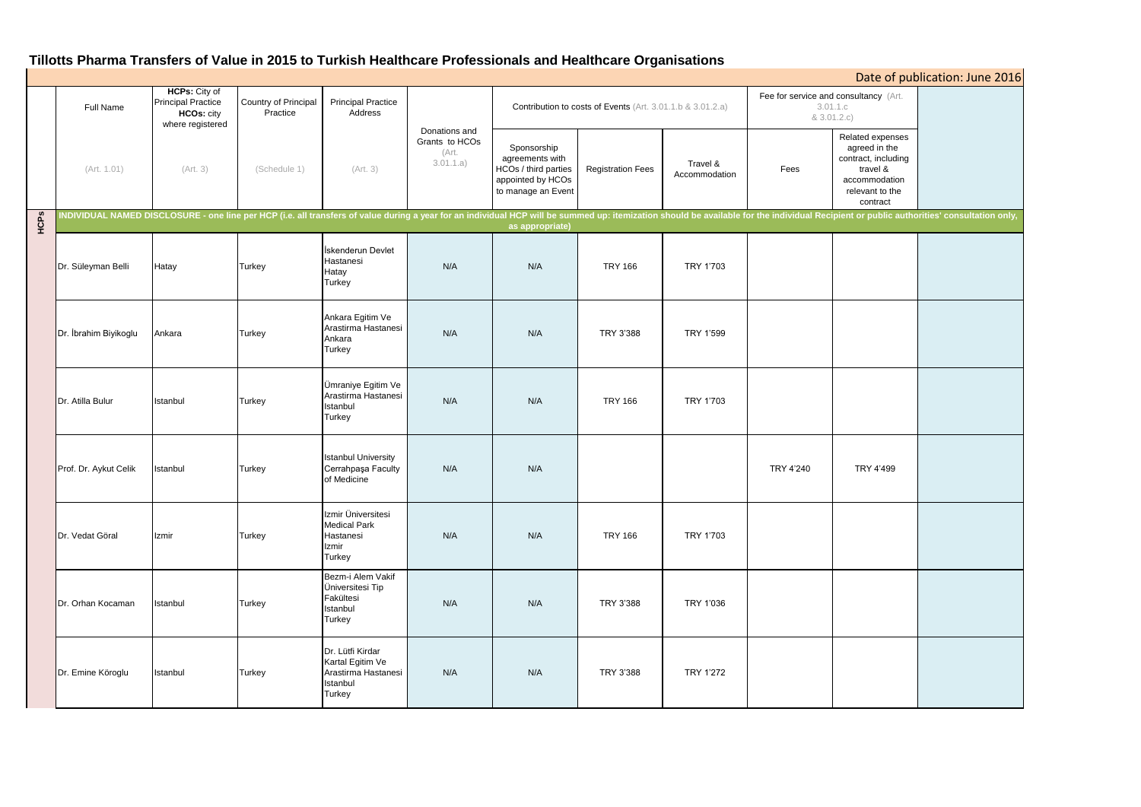# **Tillotts Pharma Transfers of Value in 2015 to Turkish Healthcare Professionals and Healthcare Organisations**

|             | Date of publication: June 2016 |                                                                                            |                                  |                                                                                   |                                                       |                                                                                                   |                          |                           |                                                                  |                                                                                                                      |                                                                                                                                                                                                                                |
|-------------|--------------------------------|--------------------------------------------------------------------------------------------|----------------------------------|-----------------------------------------------------------------------------------|-------------------------------------------------------|---------------------------------------------------------------------------------------------------|--------------------------|---------------------------|------------------------------------------------------------------|----------------------------------------------------------------------------------------------------------------------|--------------------------------------------------------------------------------------------------------------------------------------------------------------------------------------------------------------------------------|
|             | Full Name                      | <b>HCPs:</b> City of<br><b>Principal Practice</b><br><b>HCOs: city</b><br>where registered | Country of Principal<br>Practice | <b>Principal Practice</b><br>Address                                              |                                                       | Contribution to costs of Events (Art. 3.01.1.b & 3.01.2.a)                                        |                          |                           | Fee for service and consultancy (Art.<br>3.01.1.c<br>& 3.01.2.c) |                                                                                                                      |                                                                                                                                                                                                                                |
|             | (Art. 1.01)                    | (Art. 3)                                                                                   | (Schedule 1)                     | (Art. 3)                                                                          | Donations and<br>Grants to HCOs<br>(Art.<br>3.01.1.a) | Sponsorship<br>agreements with<br>HCOs / third parties<br>appointed by HCOs<br>to manage an Event | <b>Registration Fees</b> | Travel &<br>Accommodation | Fees                                                             | Related expenses<br>agreed in the<br>contract, including<br>travel &<br>accommodation<br>relevant to the<br>contract |                                                                                                                                                                                                                                |
| <b>HCPS</b> |                                |                                                                                            |                                  |                                                                                   |                                                       | as appropriate)                                                                                   |                          |                           |                                                                  |                                                                                                                      | NDIVIDUAL NAMED DISCLOSURE - one line per HCP (i.e. all transfers of value during a year for an individual HCP will be summed up: itemization should be available for the individual Recipient or public authorities' consulta |
|             | Dr. Süleyman Belli             | Hatay                                                                                      | Turkey                           | İskenderun Devlet<br>Hastanesi<br>Hatay<br>Turkey                                 | N/A                                                   | N/A                                                                                               | <b>TRY 166</b>           | TRY 1'703                 |                                                                  |                                                                                                                      |                                                                                                                                                                                                                                |
|             | Dr. İbrahim Biyikoglu          | Ankara                                                                                     | Turkey                           | Ankara Egitim Ve<br>Arastirma Hastanesi<br>Ankara<br>Turkey                       | N/A                                                   | N/A                                                                                               | TRY 3'388                | TRY 1'599                 |                                                                  |                                                                                                                      |                                                                                                                                                                                                                                |
|             | Dr. Atilla Bulur               | Istanbul                                                                                   | Turkey                           | Ümraniye Egitim Ve<br>Arastirma Hastanesi<br>Istanbul<br>Turkey                   | N/A                                                   | N/A                                                                                               | <b>TRY 166</b>           | TRY 1'703                 |                                                                  |                                                                                                                      |                                                                                                                                                                                                                                |
|             | Prof. Dr. Aykut Celik          | Istanbul                                                                                   | <b>Turkey</b>                    | <b>Istanbul University</b><br>Cerrahpaşa Faculty<br>of Medicine                   | N/A                                                   | N/A                                                                                               |                          |                           | TRY 4'240                                                        | TRY 4'499                                                                                                            |                                                                                                                                                                                                                                |
|             | Dr. Vedat Göral                | Izmir                                                                                      | Turkey                           | Izmir Üniversitesi<br><b>Medical Park</b><br>Hastanesi<br>Izmir<br>Turkey         | N/A                                                   | N/A                                                                                               | <b>TRY 166</b>           | TRY 1'703                 |                                                                  |                                                                                                                      |                                                                                                                                                                                                                                |
|             | Dr. Orhan Kocaman              | Istanbul                                                                                   | Turkey                           | Bezm-i Alem Vakif<br>Üniversitesi Tip<br>Fakültesi<br>Istanbul<br>Turkey          | N/A                                                   | N/A                                                                                               | TRY 3'388                | TRY 1'036                 |                                                                  |                                                                                                                      |                                                                                                                                                                                                                                |
|             | Dr. Emine Köroglu              | Istanbul                                                                                   | Turkey                           | Dr. Lütfi Kirdar<br>Kartal Egitim Ve<br>Arastirma Hastanesi<br>Istanbul<br>Turkey | N/A                                                   | N/A                                                                                               | TRY 3'388                | <b>TRY 1'272</b>          |                                                                  |                                                                                                                      |                                                                                                                                                                                                                                |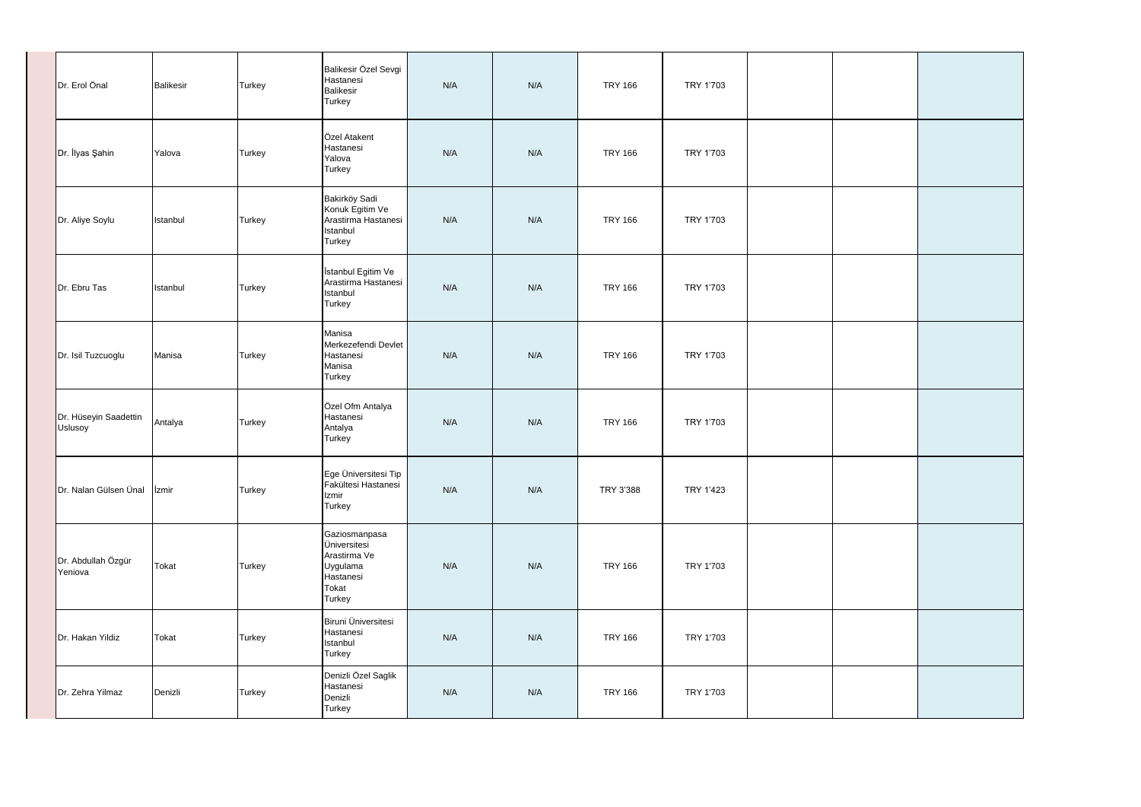| Dr. Erol Önal                    | <b>Balikesir</b> | Turkey | Balikesir Özel Sevgi<br>Hastanesi<br><b>Balikesir</b><br><b>Turkey</b>                    | N/A | N/A | <b>TRY 166</b> | TRY 1'703 |  |
|----------------------------------|------------------|--------|-------------------------------------------------------------------------------------------|-----|-----|----------------|-----------|--|
| Dr. İlyas Şahin                  | Yalova           | Turkey | Özel Atakent<br>Hastanesi<br>Yalova<br><b>Turkey</b>                                      | N/A | N/A | <b>TRY 166</b> | TRY 1'703 |  |
| Dr. Aliye Soylu                  | Istanbul         | Turkey | Bakirköy Sadi<br>Konuk Egitim Ve<br>Arastirma Hastanesi<br>Istanbul<br>Turkey             | N/A | N/A | <b>TRY 166</b> | TRY 1'703 |  |
| Dr. Ebru Tas                     | Istanbul         | Turkey | İstanbul Egitim Ve<br>Arastirma Hastanesi<br>Istanbul<br><b>Turkey</b>                    | N/A | N/A | <b>TRY 166</b> | TRY 1'703 |  |
| Dr. Isil Tuzcuoglu               | Manisa           | Turkey | Manisa<br>Merkezefendi Devlet<br>Hastanesi<br>Manisa<br>Turkey                            | N/A | N/A | <b>TRY 166</b> | TRY 1'703 |  |
| Dr. Hüseyin Saadettin<br>Uslusoy | Antalya          | Turkey | Özel Ofm Antalya<br>Hastanesi<br>Antalya<br>Turkey                                        | N/A | N/A | <b>TRY 166</b> | TRY 1'703 |  |
| Dr. Nalan Gülsen Ünal   İzmir    |                  | Turkey | Ege Üniversitesi Tip<br>Fakültesi Hastanesi<br>Izmir<br>Turkey                            | N/A | N/A | TRY 3'388      | TRY 1'423 |  |
| Dr. Abdullah Özgür<br>Yeniova    | Tokat            | Turkey | Gaziosmanpasa<br>Üniversitesi<br>Arastirma Ve<br>Uygulama<br>Hastanesi<br>Tokat<br>Turkey | N/A | N/A | <b>TRY 166</b> | TRY 1'703 |  |
| Dr. Hakan Yildiz                 | Tokat            | Turkey | Biruni Üniversitesi<br>Hastanesi<br>Istanbul<br>Turkey                                    | N/A | N/A | <b>TRY 166</b> | TRY 1'703 |  |
| Dr. Zehra Yilmaz                 | Denizli          | Turkey | Denizli Özel Saglik<br>Hastanesi<br>Denizli<br>Turkey                                     | N/A | N/A | <b>TRY 166</b> | TRY 1'703 |  |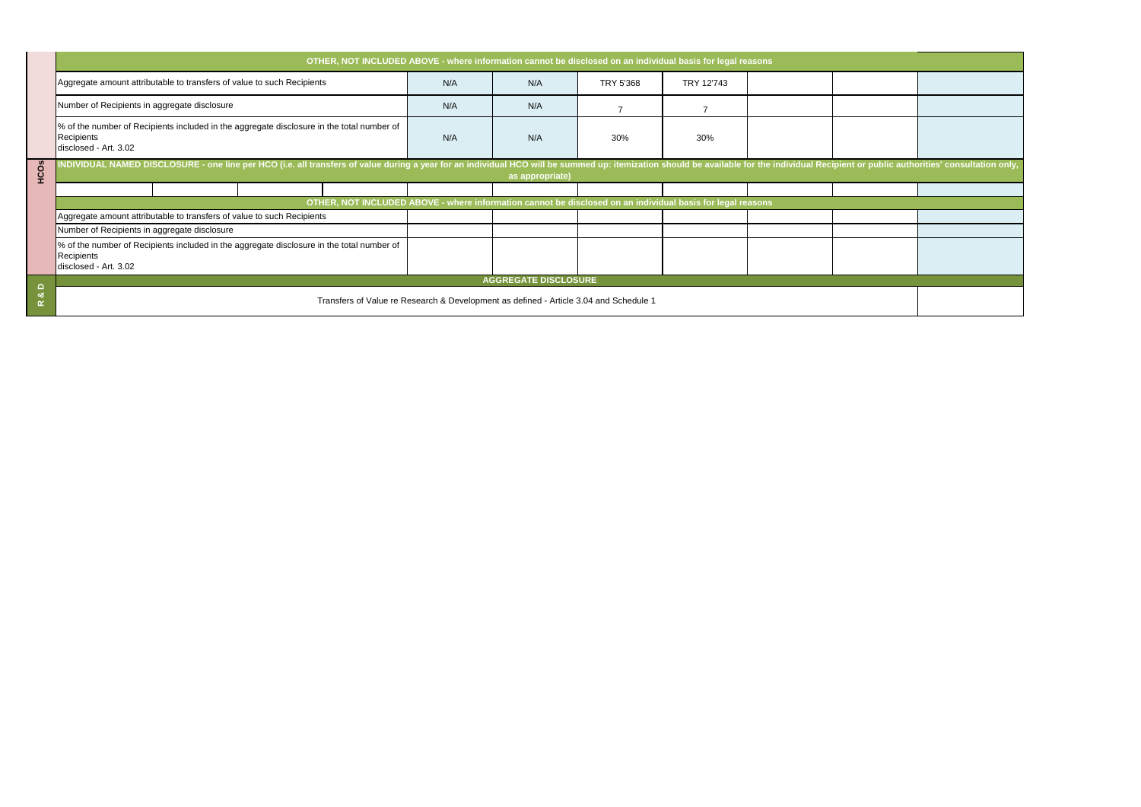|       | OTHER, NOT INCLUDED ABOVE - where information cannot be disclosed on an individual basis for legal reasons<br>Aggregate amount attributable to transfers of value to such Recipients                                           | N/A | N/A                  | TRY 5'368      | TRY 12'743     |  |  |
|-------|--------------------------------------------------------------------------------------------------------------------------------------------------------------------------------------------------------------------------------|-----|----------------------|----------------|----------------|--|--|
|       | Number of Recipients in aggregate disclosure                                                                                                                                                                                   | N/A | N/A                  | $\overline{7}$ | $\overline{7}$ |  |  |
|       | % of the number of Recipients included in the aggregate disclosure in the total number of<br>Recipients<br>disclosed - Art. 3.02                                                                                               | N/A | N/A                  | 30%            | 30%            |  |  |
| HCOS  | INDIVIDUAL NAMED DISCLOSURE - one line per HCO (i.e. all transfers of value during a year for an individual HCO will be summed up: itemization should be available for the individual Recipient or public authorities' consult |     | as appropriate)      |                |                |  |  |
|       | OTHER, NOT INCLUDED ABOVE - where information cannot be disclosed on an individual basis for legal reasons<br>Aggregate amount attributable to transfers of value to such Recipients                                           |     |                      |                |                |  |  |
|       | Number of Recipients in aggregate disclosure<br>% of the number of Recipients included in the aggregate disclosure in the total number of                                                                                      |     |                      |                |                |  |  |
|       | Recipients<br>disclosed - Art. 3.02                                                                                                                                                                                            |     |                      |                |                |  |  |
| R & D | Transfers of Value re Research & Development as defined - Article 3.04 and Schedule 1                                                                                                                                          |     | AGGREGATE DISCLOSURE |                |                |  |  |